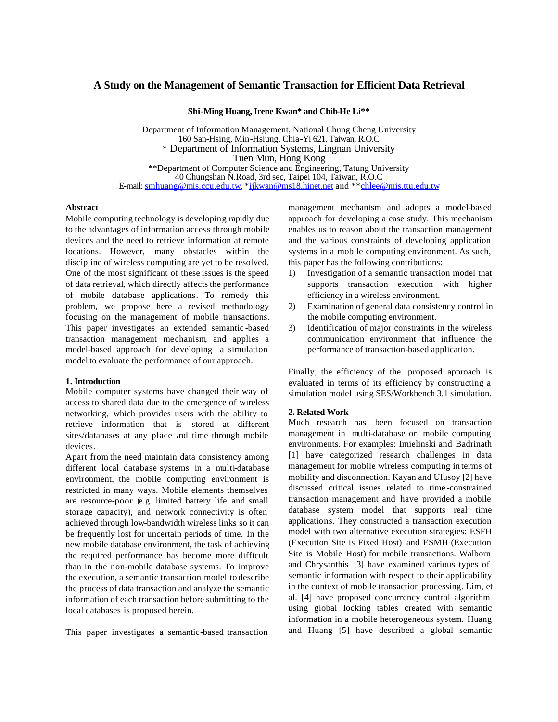# **A Study on the Management of Semantic Transaction for Efficient Data Retrieval**

**Shi-Ming Huang, Irene Kwan\* and Chih-He Li\*\***

Department of Information Management, National Chung Cheng University 160 San-Hsing, Min-Hsiung, Chia-Yi 621, Taiwan, R.O.C \* Department of Information Systems, Lingnan University Tuen Mun, Hong Kong \*\*Department of Computer Science and Engineering, Tatung University 40 Chungshan N.Road, 3rd sec, Taipei 104, Taiwan, R.O.C E-mail: smhuang@mis.ccu.edu.tw, \*ijkwan@ms18.hinet.net and \*\*chlee@mis.ttu.edu.tw

#### **Abstract**

Mobile computing technology is developing rapidly due to the advantages of information access through mobile devices and the need to retrieve information at remote locations. However, many obstacles within the discipline of wireless computing are yet to be resolved. One of the most significant of these issues is the speed of data retrieval, which directly affects the performance of mobile database applications. To remedy this problem, we propose here a revised methodology focusing on the management of mobile transactions. This paper investigates an extended semantic -based transaction management mechanism, and applies a model-based approach for developing a simulation model to evaluate the performance of our approach.

## **1. Introduction**

Mobile computer systems have changed their way of access to shared data due to the emergence of wireless networking, which provides users with the ability to retrieve information that is stored at different sites/databases at any place and time through mobile devices.

Apart from the need maintain data consistency among different local database systems in a multi-database environment, the mobile computing environment is restricted in many ways. Mobile elements themselves are resource-poor (e.g. limited battery life and small storage capacity), and network connectivity is often achieved through low-bandwidth wireless links so it can be frequently lost for uncertain periods of time. In the new mobile database environment, the task of achieving the required performance has become more difficult than in the non-mobile database systems. To improve the execution, a semantic transaction model to describe the process of data transaction and analyze the semantic information of each transaction before submitting to the local databases is proposed herein.

This paper investigates a semantic-based transaction

management mechanism and adopts a model-based approach for developing a case study. This mechanism enables us to reason about the transaction management and the various constraints of developing application systems in a mobile computing environment. As such, this paper has the following contributions:

- 1) Investigation of a semantic transaction model that supports transaction execution with higher efficiency in a wireless environment.
- 2) Examination of general data consistency control in the mobile computing environment.
- 3) Identification of major constraints in the wireless communication environment that influence the performance of transaction-based application.

Finally, the efficiency of the proposed approach is evaluated in terms of its efficiency by constructing a simulation model using SES/Workbench 3.1 simulation.

#### **2. Related Work**

Much research has been focused on transaction management in mu lti-database or mobile computing environments. For examples: Imielinski and Badrinath [1] have categorized research challenges in data management for mobile wireless computing in terms of mobility and disconnection. Kayan and Ulusoy [2] have discussed critical issues related to time -constrained transaction management and have provided a mobile database system model that supports real time applications. They constructed a transaction execution model with two alternative execution strategies: ESFH (Execution Site is Fixed Host) and ESMH (Execution Site is Mobile Host) for mobile transactions. Walborn and Chrysanthis [3] have examined various types of semantic information with respect to their applicability in the context of mobile transaction processing. Lim, et al. [4] have proposed concurrency control algorithm using global locking tables created with semantic information in a mobile heterogeneous system. Huang and Huang [5] have described a global semantic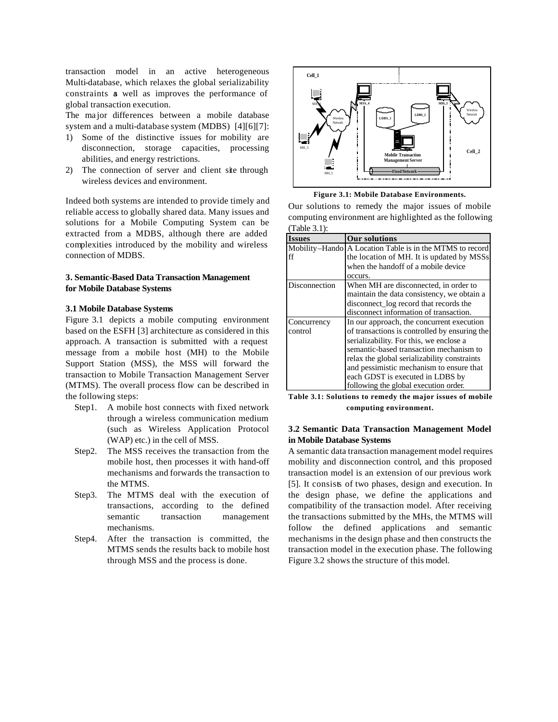transaction model in an active heterogeneous Multi-database, which relaxes the global serializability constraints as well as improves the performance of global transaction execution.

The ma jor differences between a mobile database system and a multi-database system (MDBS) [4][6][7]:

- 1) Some of the distinctive issues for mobility are disconnection, storage capacities, processing abilities, and energy restrictions.
- 2) The connection of server and client site through wireless devices and environment.

Indeed both systems are intended to provide timely and reliable access to globally shared data. Many issues and solutions for a Mobile Computing System can be extracted from a MDBS, although there are added complexities introduced by the mobility and wireless connection of MDBS.

## **3. Semantic-Based Data Transaction Management for Mobile Database Systems**

#### **3.1 Mobile Database Systems**

Figure 3.1 depicts a mobile computing environment based on the ESFH [3] architecture as considered in this approach. A transaction is submitted with a request message from a mobile host (MH) to the Mobile Support Station (MSS), the MSS will forward the transaction to Mobile Transaction Management Server (MTMS). The overall process flow can be described in the following steps:

- Step1. A mobile host connects with fixed network through a wireless communication medium (such as Wireless Application Protocol (WAP) etc.) in the cell of MSS.
- Step2. The MSS receives the transaction from the mobile host, then processes it with hand-off mechanisms and forwards the transaction to the MTMS.
- Step3. The MTMS deal with the execution of transactions, according to the defined semantic transaction management mechanisms.
- Step4. After the transaction is committed, the MTMS sends the results back to mobile host through MSS and the process is done.



**Figure 3.1: Mobile Database Environments.**

Our solutions to remedy the major issues of mobile computing environment are highlighted as the following (Table 3.1):

| <b>Issues</b> | <b>Our solutions</b>                                     |  |
|---------------|----------------------------------------------------------|--|
|               | Mobility–Hando A Location Table is in the MTMS to record |  |
| ff            | the location of MH. It is updated by MSSs                |  |
|               | when the handoff of a mobile device                      |  |
|               | occurs.                                                  |  |
| Disconnection | When MH are disconnected, in order to                    |  |
|               | maintain the data consistency, we obtain a               |  |
|               | disconnect_log record that records the                   |  |
|               | disconnect information of transaction.                   |  |
| Concurrency   | In our approach, the concurrent execution                |  |
| control       | of transactions is controlled by ensuring the            |  |
|               | serializability. For this, we enclose a                  |  |
|               | semantic-based transaction mechanism to                  |  |
|               | relax the global serializability constraints             |  |
|               | and pessimistic mechanism to ensure that                 |  |
|               | each GDST is executed in LDBS by                         |  |
|               | following the global execution order.                    |  |

**Table 3.1: Solutions to remedy the major issues of mobile computing environment.**

## **3.2 Semantic Data Transaction Management Model in Mobile Database Systems**

A semantic data transaction management model requires mobility and disconnection control, and this proposed transaction model is an extension of our previous work [5]. It consists of two phases, design and execution. In the design phase, we define the applications and compatibility of the transaction model. After receiving the transactions submitted by the MHs, the MTMS will follow the defined applications and semantic mechanisms in the design phase and then constructs the transaction model in the execution phase. The following Figure 3.2 shows the structure of this model.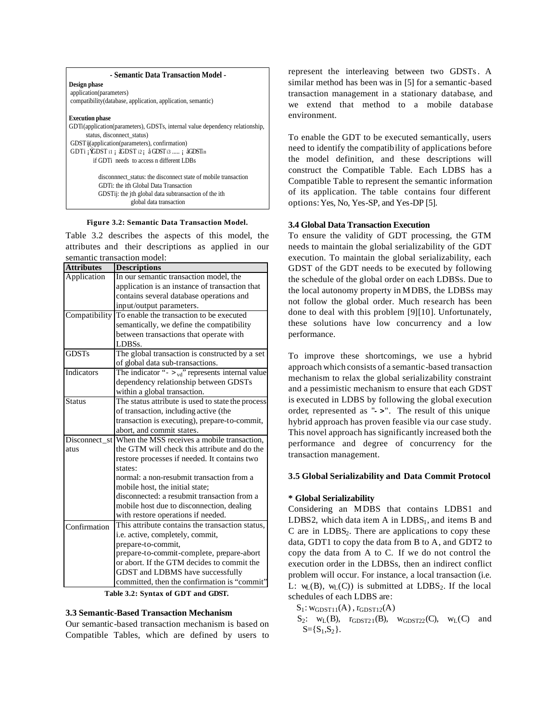**Design phase** application(parameters) compatibility(database, application, application, semantic)

**Execution phase**

GDTi(application(parameters), GDSTs, internal value dependency relationship, status, disconnect\_status) GDSTij(application(parameters), confirmation) GDTi ¡Ý GDST i1 ¡ å GDST i2 ¡ å GDST i3 ..... ¡ åGDSTin if GDTi needs to access n different LDBs disconnect status: the disconnect state of mobile transaction GDTi: the ith Global Data Transaction

 GDSTij: the jth global data subtransaction of the ith global data transaction

# **Figure 3.2: Semantic Data Transaction Model.**

Table 3.2 describes the aspects of this model, the attributes and their descriptions as applied in our semantic transaction model:

| <b>Attributes</b> | <b>Descriptions</b>                                                      |  |
|-------------------|--------------------------------------------------------------------------|--|
| Application       | In our semantic transaction model, the                                   |  |
|                   | application is an instance of transaction that                           |  |
|                   | contains several database operations and                                 |  |
|                   | input/output parameters.                                                 |  |
| Compatibility     | To enable the transaction to be executed                                 |  |
|                   | semantically, we define the compatibility                                |  |
|                   | between transactions that operate with                                   |  |
|                   | LDBSs.                                                                   |  |
| <b>GDSTs</b>      | The global transaction is constructed by a set                           |  |
|                   | of global data sub-transactions.                                         |  |
| <b>Indicators</b> | The indicator " $\rightarrow$ $_{\text{vd}}$ " represents internal value |  |
|                   | dependency relationship between GDSTs                                    |  |
|                   | within a global transaction.                                             |  |
| <b>Status</b>     | The status attribute is used to state the process                        |  |
|                   | of transaction, including active (the                                    |  |
|                   | transaction is executing), prepare-to-commit,                            |  |
|                   | abort, and commit states.                                                |  |
|                   | Disconnect st When the MSS receives a mobile transaction,                |  |
| atus              | the GTM will check this attribute and do the                             |  |
|                   | restore processes if needed. It contains two                             |  |
|                   | states:                                                                  |  |
|                   | normal: a non-resubmit transaction from a                                |  |
|                   | mobile host, the initial state;                                          |  |
|                   | disconnected: a resubmit transaction from a                              |  |
|                   | mobile host due to disconnection, dealing                                |  |
|                   | with restore operations if needed.                                       |  |
| Confirmation      | This attribute contains the transaction status,                          |  |
|                   | i.e. active, completely, commit,                                         |  |
|                   | prepare-to-commit,                                                       |  |
|                   | prepare-to-commit-complete, prepare-abort                                |  |
|                   | or abort. If the GTM decides to commit the                               |  |
|                   | GDST and LDBMS have successfully                                         |  |
|                   | committed, then the confirmation is "commit"                             |  |

**Table 3.2: Syntax of GDT and GDST.**

## **3.3 Semantic-Based Transaction Mechanism**

Our semantic-based transaction mechanism is based on Compatible Tables, which are defined by users to

represent the interleaving between two GDSTs. A similar method has been was in [5] for a semantic -based transaction management in a stationary database, and we extend that method to a mobile database environment.

To enable the GDT to be executed semantically, users need to identify the compatibility of applications before the model definition, and these descriptions will construct the Compatible Table. Each LDBS has a Compatible Table to represent the semantic information of its application. The table contains four different options:Yes, No, Yes-SP, and Yes-DP [5].

## **3.4 Global Data Transaction Execution**

To ensure the validity of GDT processing, the GTM needs to maintain the global serializability of the GDT execution. To maintain the global serializability, each GDST of the GDT needs to be executed by following the schedule of the global order on each LDBSs. Due to the local autonomy property in MDBS, the LDBSs may not follow the global order. Much research has been done to deal with this problem [9][10]. Unfortunately, these solutions have low concurrency and a low performance.

To improve these shortcomings, we use a hybrid approach which consists of a semantic-based transaction mechanism to relax the global serializability constraint and a pessimistic mechanism to ensure that each GDST is executed in LDBS by following the global execution order, represented as "**- >**". The result of this unique hybrid approach has proven feasible via our case study. This novel approach has significantly increased both the performance and degree of concurrency for the transaction management.

## **3.5 Global Serializability and Data Commit Protocol**

## **\* Global Serializability**

Considering an MDBS that contains LDBS1 and LDBS2, which data item A in  $LDBS<sub>1</sub>$ , and items B and  $C$  are in  $LDBS<sub>2</sub>$ . There are applications to copy these data, GDT1 to copy the data from B to A, and GDT2 to copy the data from A to C. If we do not control the execution order in the LDBSs, then an indirect conflict problem will occur. For instance, a local transaction (i.e. L:  $w_L(B)$ ,  $w_L(C)$ ) is submitted at LDBS<sub>2</sub>. If the local schedules of each LDBS are:

 $S_1: w_{GDT11}(A), r_{GDT12}(A)$ 

 $S_2$ :  $w_L(B)$ ,  $r_{GDST21}(B)$ ,  $w_{GDST22}(C)$ ,  $w_L(C)$  and  $S = \{S_1, S_2\}.$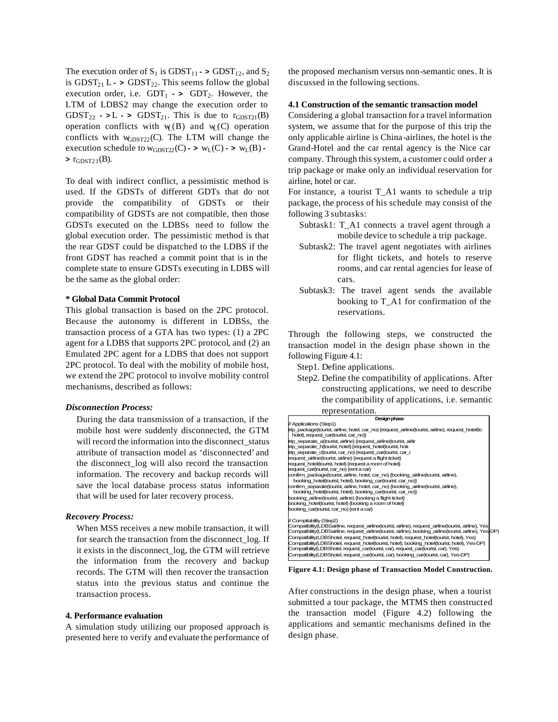The execution order of  $S_1$  is  $GDST_{11}$  **- >**  $GDST_{12}$ , and  $S_2$ is  $GDST_{21}L \rightarrow GDST_{22}$ . This seems follow the global execution order, i.e.  $GDT_1$  **->**  $GDT_2$ . However, the LTM of LDBS2 may change the execution order to GDST<sub>22</sub>  $\cdot$  > L  $\cdot$  > GDST<sub>21</sub>. This is due to  $r_{\text{GDST21}}(B)$ operation conflicts with  $w_L(B)$  and  $w_L(C)$  operation conflicts with  $w_{GDST22}(C)$ . The LTM will change the execution schedule to  $w_{GDST22}(C) \rightarrow w_L(C) \rightarrow w_L(B)$  $\triangleright$  r<sub>GDST21</sub>(B).

To deal with indirect conflict, a pessimistic method is used. If the GDSTs of different GDTs that do not provide the compatibility of GDSTs or their compatibility of GDSTs are not compatible, then those GDSTs executed on the LDBSs need to follow the global execution order. The pessimistic method is that the rear GDST could be dispatched to the LDBS if the front GDST has reached a commit point that is in the complete state to ensure GDSTs executing in LDBS will be the same as the global order:

### **\* Global Data Commit Protocol**

This global transaction is based on the 2PC protocol. Because the autonomy is different in LDBSs, the transaction process of a GTA has two types: (1) a 2PC agent for a LDBS that supports 2PC protocol, and (2) an Emulated 2PC agent for a LDBS that does not support 2PC protocol. To deal with the mobility of mobile host, we extend the 2PC protocol to involve mobility control mechanisms, described as follows:

#### *Disconnection Process:*

During the data transmission of a transaction, if the mobile host were suddenly disconnected, the GTM will record the information into the disconnect\_status attribute of transaction model as 'disconnected' and the disconnect\_log will also record the transaction information. The recovery and backup records will save the local database process status information that will be used for later recovery process.

### *Recovery Process:*

When MSS receives a new mobile transaction, it will for search the transaction from the disconnect\_log. If it exists in the disconnect\_log, the GTM will retrieve the information from the recovery and backup records. The GTM will then recover the transaction status into the previous status and continue the transaction process.

#### **4. Performance evaluation**

A simulation study utilizing our proposed approach is presented here to verify and evaluate the performance of the proposed mechanism versus non-semantic ones. It is discussed in the following sections.

## **4.1 Construction of the semantic transaction model**

Considering a global transaction for a travel information system, we assume that for the purpose of this trip the only applicable airline is China-airlines, the hotel is the Grand-Hotel and the car rental agency is the Nice car company. Through this system, a customer could order a trip package or make only an individual reservation for airline, hotel or car.

For instance, a tourist T\_A1 wants to schedule a trip package, the process of his schedule may consist of the following 3 subtasks:

- Subtask1: T\_A1 connects a travel agent through a mobile device to schedule a trip package.
- Subtask2: The travel agent negotiates with airlines for flight tickets, and hotels to reserve rooms, and car rental agencies for lease of cars.
- Subtask3: The travel agent sends the available booking to T\_A1 for confirmation of the reservations.

Through the following steps, we constructed the transaction model in the design phase shown in the following Figure 4.1:

- Step1. Define applications.
- Step2. Define the compatibility of applications. After constructing applications, we need to describe the compatibility of applications, i.e. semantic representation.

| Design phase                                                                                             |  |
|----------------------------------------------------------------------------------------------------------|--|
| // Applications (Step1)                                                                                  |  |
| trip package(tourist, airline, hotel, car no) {request airline(tourist, airline), request hotel(tc       |  |
| hotel), request_car(tourist, car no)}                                                                    |  |
| trip separate a(tourist, airline) {request airline(tourist, airlin                                       |  |
| trip separate h(tourist, hotel) {request hotel(tourist, hote                                             |  |
| trip_separate_c(tourist, car_no) {request_car(tourist, car_r                                             |  |
| request airline(tourist, airline) {request a flight ticket}                                              |  |
| request hotel(tourist, hotel) {request a room of hotel}                                                  |  |
| request car(tourist, car no) {rent a car}                                                                |  |
| confirm package(tourist, airline, hotel, car no) {booking airline(tourist, airline),                     |  |
| booking hotel(tourist, hotel), booking car(tourist, car no)}                                             |  |
| confirm separate(tourist, airline, hotel, car no) {booking airline(tourist, airline),                    |  |
| booking hotel(tourist, hotel), booking car(tourist, car no)}                                             |  |
| booking airline(tourist, airline) {booking a flight ticket}                                              |  |
| booking hotel(tourist, hotel) {booking a room of hotel}                                                  |  |
| booking_car(tourist, car_no) {rent a car}                                                                |  |
|                                                                                                          |  |
| // Compitability (Step2)                                                                                 |  |
| Compatibility(LDBSairline, request airline(tourist, airline), request airline(tourist, airline), Yes)    |  |
| Compatibility(LDBSairline, request_airline(tourist, airline), booking_airline(tourist, airline), Yes-DP) |  |
| Compatibility(LDBShotel, request hotel(tourist, hotel), request hotel(tourist, hotel), Yes)              |  |
| Compatibility(LDBShotel, request_hotel(tourist, hotel), booking_hotel(tourist, hotel), Yes-DP)           |  |
| Compatibility(LDBShotel, request car(tourist, car), request car(tourist, car), Yes)                      |  |
| Compatibility(LDBShotel, request car(tourist, car), booking car(tourist, car), Yes-DP)                   |  |

**Figure 4.1: Design phase of Transaction Model Construction.**

After constructions in the design phase, when a tourist submitted a tour package, the MTMS then constructed the transaction model (Figure 4.2) following the applications and semantic mechanisms defined in the design phase.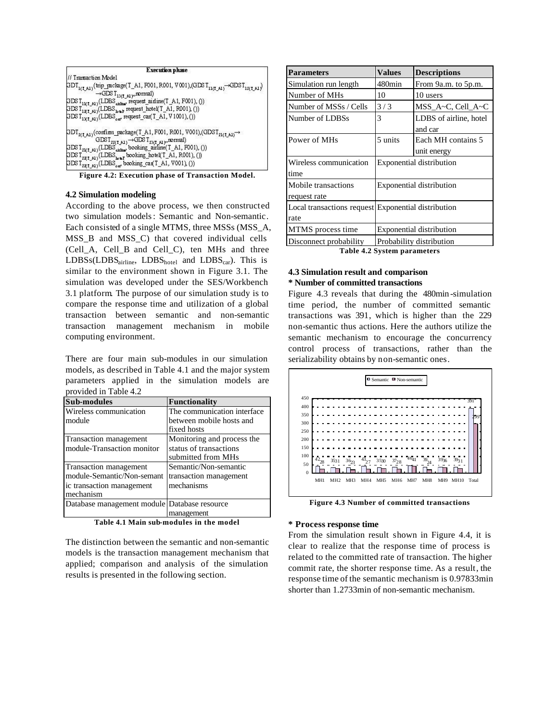| Execution phase                                                                                                                                                                                                                                                                                             |
|-------------------------------------------------------------------------------------------------------------------------------------------------------------------------------------------------------------------------------------------------------------------------------------------------------------|
| // Transaction Model                                                                                                                                                                                                                                                                                        |
| $\text{GDT}_{\mathbf{1}(\mathbf{1},\mathbf{A})}(\text{trip\_nclage}(\mathbf{T\_A1}, \text{FO01}, \text{RO01}, \text{V001}),\text{GDST}_{\mathbf{11}(\mathbf{1},\mathbf{A})} {\rightarrow} \text{GDST}_{\mathbf{12}(\mathbf{1},\mathbf{A})}$<br>$\rightarrow$ GDS $\texttt{T}_{13(1\_Al)^o}, \text{normal})$ |
| $\text{GDS T}_{11(1,\text{Al})}(\text{LDBS}_{\text{unline}})$ request_airline(T_A1, F001), ())                                                                                                                                                                                                              |
| $\text{GDS T}_{12,1 \text{ A1}}(\text{LDBS}_{\text{lowP}} \text{ request\_hotel}(T_{A1}, R001),())$                                                                                                                                                                                                         |
| $\text{GDS} \, \texttt{T}_{13,1,\text{Al}}(\text{LDBS}_{\text{car}} \, \text{request\_car}(\texttt{T\_AI}, \texttt{V1001}),())$                                                                                                                                                                             |
| $\text{GDT}_{2(1,\text{Al})}(\text{confirm\_package}(\text{T\_A1}, \text{FO01}, \text{RO01}, \text{VO01}), \text{GDST}_{21(1,\text{Al})} \rightarrow$<br>$\text{GDST}_{22(1 \text{ Al})} \rightarrow \text{GDST}_{23(1 \text{ Al})},$ formal)                                                               |
| $\text{GDS T}_{21(1, \text{A1})}(\text{LDBS}_{\text{adim}})$ booking_airline(T_A1, F001), ())                                                                                                                                                                                                               |
| $GDST_{221 \text{ Al}}$ (LDBS $_{\text{lowT}}$ booking_hotel(T_A1, R001), ())                                                                                                                                                                                                                               |
| $GDST_{221 \text{ A1}}(LDBS_{cor}$ booking_can(T_A1, V001), ())                                                                                                                                                                                                                                             |

**Figure 4.2: Execution phase of Transaction Model.**

#### **4.2 Simulation modeling**

According to the above process, we then constructed two simulation models: Semantic and Non-semantic. Each consisted of a single MTMS, three MSSs (MSS\_A, MSS\_B and MSS\_C) that covered individual cells (Cell\_A, Cell\_B and Cell\_C), ten MHs and three  $LDBSS(LDBS<sub>airline</sub>, LDBS<sub>hotel</sub> and LDBS<sub>car</sub>). This is$ similar to the environment shown in Figure 3.1. The simulation was developed under the SES/Workbench 3.1 platform. The purpose of our simulation study is to compare the response time and utilization of a global transaction between semantic and non-semantic transaction management mechanism in mobile computing environment.

There are four main sub-modules in our simulation models, as described in Table 4.1 and the major system parameters applied in the simulation models are provided in Table 4.2

| <b>Sub-modules</b>                           | <b>Functionality</b>        |  |
|----------------------------------------------|-----------------------------|--|
| Wireless communication                       | The communication interface |  |
| module                                       | between mobile hosts and    |  |
|                                              | fixed hosts                 |  |
| Transaction management                       | Monitoring and process the  |  |
| module-Transaction monitor                   | status of transactions      |  |
|                                              | submitted from MHs          |  |
| Transaction management                       | Semantic/Non-semantic       |  |
| module-Semantic/Non-semant                   | transaction management      |  |
| ic transaction management                    | mechanisms                  |  |
| mechanism                                    |                             |  |
| Database management module Database resource |                             |  |
|                                              | management                  |  |

**Table 4.1 Main sub-modules in the model**

The distinction between the semantic and non-semantic models is the transaction management mechanism that applied; comparison and analysis of the simulation results is presented in the following section.

| <b>Parameters</b>                                           | <b>Values</b>                   | <b>Descriptions</b>               |
|-------------------------------------------------------------|---------------------------------|-----------------------------------|
| Simulation run length                                       | 480min                          | From 9a.m. to 5p.m.               |
| Number of MHs                                               | 10                              | 10 users                          |
| Number of MSSs / Cells                                      | 3/3                             | MSS A~C, Cell A~C                 |
| Number of LDBSs                                             | 3                               | LDBS of airline, hotel<br>and car |
| Power of MHs                                                | 5 units                         | Each MH contains 5<br>unit energy |
| Wireless communication<br>time                              | Exponential distribution        |                                   |
| Mobile transactions<br>request rate                         | <b>Exponential distribution</b> |                                   |
| Local transactions request Exponential distribution<br>rate |                                 |                                   |
| MTMS process time                                           |                                 | <b>Exponential distribution</b>   |
| Disconnect probability                                      | Probability distribution        |                                   |

**Table 4.2 System parameters**

### **4.3 Simulation result and comparison \* Number of committed transactions**

Figure 4.3 reveals that during the 480min -simulation time period, the number of committed semantic transactions was 391, which is higher than the 229 non-semantic thus actions. Here the authors utilize the semantic mechanism to encourage the concurrency control process of transactions, rather than the serializability obtains by non-semantic ones.



**Figure 4.3 Number of committed transactions**

## **\* Process response time**

From the simulation result shown in Figure 4.4, it is clear to realize that the response time of process is related to the committed rate of transaction. The higher commit rate, the shorter response time. As a result, the response time of the semantic mechanism is 0.97833min shorter than 1.2733min of non-semantic mechanism.